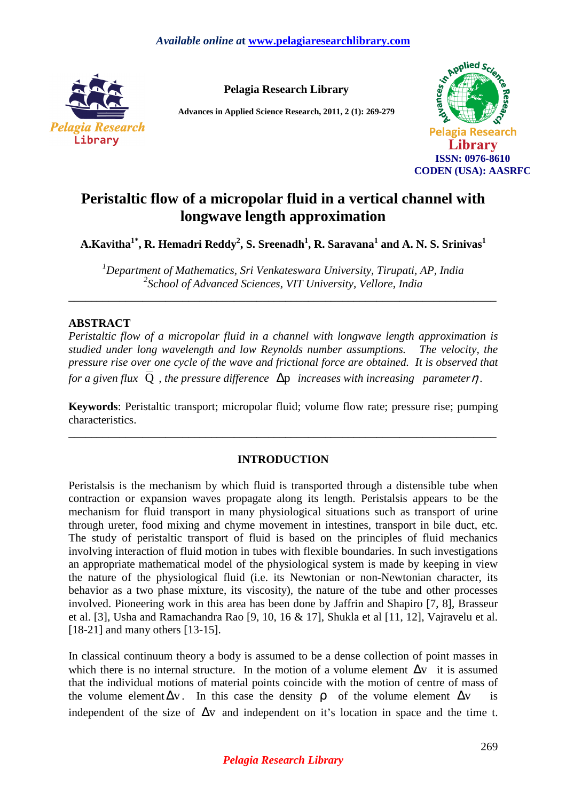

**Pelagia Research Library** 

**Advances in Applied Science Research, 2011, 2 (1): 269-279** 



# **Peristaltic flow of a micropolar fluid in a vertical channel with longwave length approximation**

**A.Kavitha1\*, R. Hemadri Reddy<sup>2</sup> , S. Sreenadh<sup>1</sup> , R. Saravana<sup>1</sup> and A. N. S. Srinivas<sup>1</sup>**

*<sup>1</sup>Department of Mathematics, Sri Venkateswara University, Tirupati, AP, India 2 School of Advanced Sciences, VIT University, Vellore, India* 

\_\_\_\_\_\_\_\_\_\_\_\_\_\_\_\_\_\_\_\_\_\_\_\_\_\_\_\_\_\_\_\_\_\_\_\_\_\_\_\_\_\_\_\_\_\_\_\_\_\_\_\_\_\_\_\_\_\_\_\_\_\_\_\_\_\_\_\_\_\_\_\_\_\_\_

# **ABSTRACT**

*Peristaltic flow of a micropolar fluid in a channel with longwave length approximation is studied under long wavelength and low Reynolds number assumptions. The velocity, the pressure rise over one cycle of the wave and frictional force are obtained. It is observed that for a given flux*  $\overline{Q}$ , the pressure difference  $\Delta p$  increases with increasing parameter  $\eta$ .

**Keywords**: Peristaltic transport; micropolar fluid; volume flow rate; pressure rise; pumping characteristics.

\_\_\_\_\_\_\_\_\_\_\_\_\_\_\_\_\_\_\_\_\_\_\_\_\_\_\_\_\_\_\_\_\_\_\_\_\_\_\_\_\_\_\_\_\_\_\_\_\_\_\_\_\_\_\_\_\_\_\_\_\_\_\_\_\_\_\_\_\_\_\_\_\_\_\_

# **INTRODUCTION**

Peristalsis is the mechanism by which fluid is transported through a distensible tube when contraction or expansion waves propagate along its length. Peristalsis appears to be the mechanism for fluid transport in many physiological situations such as transport of urine through ureter, food mixing and chyme movement in intestines, transport in bile duct, etc. The study of peristaltic transport of fluid is based on the principles of fluid mechanics involving interaction of fluid motion in tubes with flexible boundaries. In such investigations an appropriate mathematical model of the physiological system is made by keeping in view the nature of the physiological fluid (i.e. its Newtonian or non-Newtonian character, its behavior as a two phase mixture, its viscosity), the nature of the tube and other processes involved. Pioneering work in this area has been done by Jaffrin and Shapiro [7, 8], Brasseur et al. [3], Usha and Ramachandra Rao [9, 10, 16 & 17], Shukla et al [11, 12], Vajravelu et al. [18-21] and many others [13-15].

In classical continuum theory a body is assumed to be a dense collection of point masses in which there is no internal structure. In the motion of a volume element  $\Delta v$  it is assumed that the individual motions of material points coincide with the motion of centre of mass of the volume element  $\Delta v$ . In this case the density **o** of the volume element  $\Delta v$ independent of the size of ∆v and independent on it's location in space and the time t.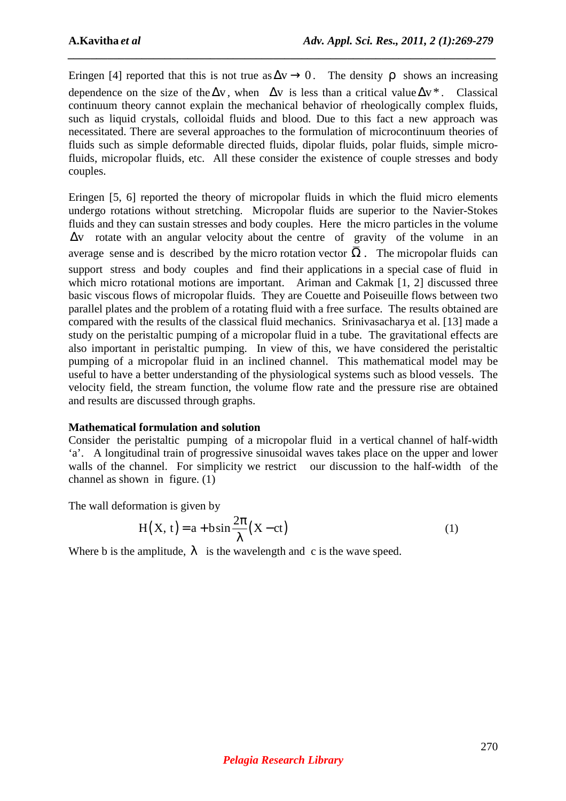Eringen [4] reported that this is not true as  $\Delta v \rightarrow 0$ . The density  $\rho$  shows an increasing dependence on the size of the  $\Delta v$ , when  $\Delta v$  is less than a critical value  $\Delta v^*$ . Classical continuum theory cannot explain the mechanical behavior of rheologically complex fluids, such as liquid crystals, colloidal fluids and blood. Due to this fact a new approach was necessitated. There are several approaches to the formulation of microcontinuum theories of fluids such as simple deformable directed fluids, dipolar fluids, polar fluids, simple microfluids, micropolar fluids, etc. All these consider the existence of couple stresses and body couples.

*\_\_\_\_\_\_\_\_\_\_\_\_\_\_\_\_\_\_\_\_\_\_\_\_\_\_\_\_\_\_\_\_\_\_\_\_\_\_\_\_\_\_\_\_\_\_\_\_\_\_\_\_\_\_\_\_\_\_\_\_\_\_\_\_\_\_\_\_\_\_\_\_\_\_\_*

Eringen [5, 6] reported the theory of micropolar fluids in which the fluid micro elements undergo rotations without stretching. Micropolar fluids are superior to the Navier-Stokes fluids and they can sustain stresses and body couples. Here the micro particles in the volume ∆v rotate with an angular velocity about the centre of gravity of the volume in an average sense and is described by the micro rotation vector  $\Omega$ . The micropolar fluids can support stress and body couples and find their applications in a special case of fluid in which micro rotational motions are important. Ariman and Cakmak [1, 2] discussed three basic viscous flows of micropolar fluids. They are Couette and Poiseuille flows between two parallel plates and the problem of a rotating fluid with a free surface. The results obtained are compared with the results of the classical fluid mechanics. Srinivasacharya et al. [13] made a study on the peristaltic pumping of a micropolar fluid in a tube. The gravitational effects are also important in peristaltic pumping. In view of this, we have considered the peristaltic pumping of a micropolar fluid in an inclined channel. This mathematical model may be useful to have a better understanding of the physiological systems such as blood vessels. The velocity field, the stream function, the volume flow rate and the pressure rise are obtained and results are discussed through graphs.

# **Mathematical formulation and solution**

Consider the peristaltic pumping of a micropolar fluid in a vertical channel of half-width 'a'. A longitudinal train of progressive sinusoidal waves takes place on the upper and lower walls of the channel. For simplicity we restrict our discussion to the half-width of the channel as shown in figure. (1)

The wall deformation is given by

$$
H(X, t) = a + b \sin \frac{2\pi}{\lambda} (X - ct)
$$
 (1)

Where b is the amplitude,  $\lambda$  is the wavelength and c is the wave speed.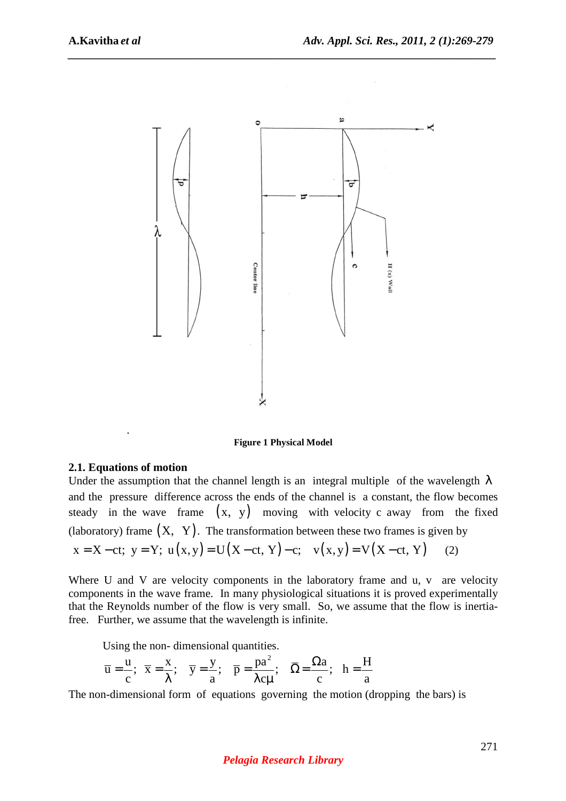

**Figure 1 Physical Model** 

#### **2.1. Equations of motion**

Under the assumption that the channel length is an integral multiple of the wavelength  $\lambda$ and the pressure difference across the ends of the channel is a constant, the flow becomes steady in the wave frame  $(x, y)$  moving with velocity c away from the fixed (laboratory) frame  $(X, Y)$ . The transformation between these two frames is given by

$$
x = X - ct; y = Y; u(x,y) = U(X - ct, Y) - c; v(x,y) = V(X - ct, Y)
$$
 (2)

Where U and V are velocity components in the laboratory frame and u, v are velocity components in the wave frame. In many physiological situations it is proved experimentally that the Reynolds number of the flow is very small. So, we assume that the flow is inertiafree. Further, we assume that the wavelength is infinite.

Using the non- dimensional quantities.

$$
\overline{u} = \frac{u}{c}; \ \overline{x} = \frac{x}{\lambda}; \ \overline{y} = \frac{y}{a}; \ \overline{p} = \frac{pa^2}{\lambda c\mu}; \ \overline{\Omega} = \frac{\Omega a}{c}; \ h = \frac{H}{a}
$$

The non-dimensional form of equations governing the motion (dropping the bars) is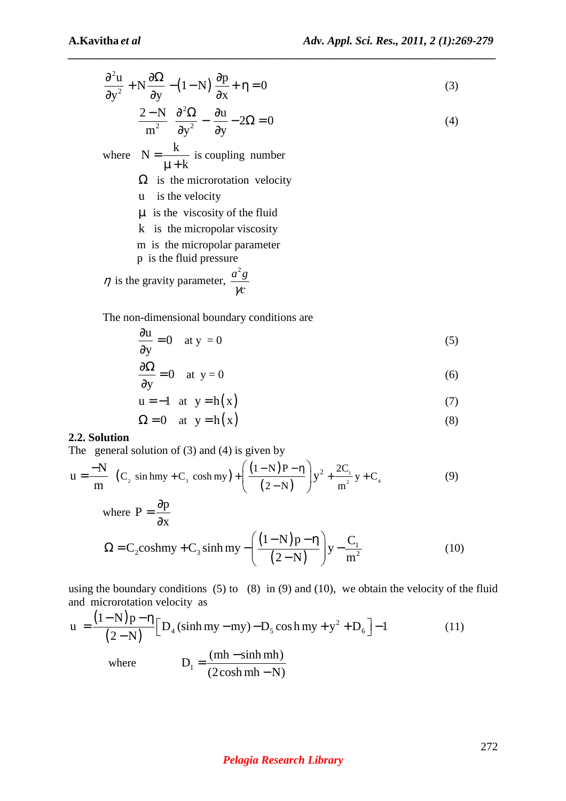$$
\frac{\partial^2 u}{\partial y^2} + N \frac{\partial \Omega}{\partial y} - (1 - N) \frac{\partial p}{\partial x} + \eta = 0
$$
 (3)

$$
\frac{2-N}{m^2} \frac{\partial^2 \Omega}{\partial y^2} - \frac{\partial u}{\partial y} - 2\Omega = 0
$$
 (4)

where  $N = \frac{k}{k}$ k =  $\mu +$ is coupling number

- $\Omega$  is the microrotation velocity
- u is the velocity
- $\mu$  is the viscosity of the fluid
- k is the micropolar viscosity
- m is the micropolar parameter
- p is the fluid pressure

$$
\eta
$$
 is the gravity parameter,  $\frac{a^2 g}{\gamma c}$ 

The non-dimensional boundary conditions are

$$
\frac{\partial u}{\partial y} = 0 \quad \text{at } y = 0 \tag{5}
$$

$$
\frac{\partial \Omega}{\partial y} = 0 \quad \text{at } y = 0 \tag{6}
$$

$$
u = -1 \quad at \quad y = h(x) \tag{7}
$$

$$
\Omega = 0 \quad \text{at} \quad y = h(x) \tag{8}
$$

## **2.2. Solution**

The general solution of  $(3)$  and  $(4)$  is given by

$$
u = \frac{-N}{m} (C_2 \sin hmy + C_3 \cosh my) + \left(\frac{(1-N)P - \eta}{(2-N)}\right) y^2 + \frac{2C_1}{m^2} y + C_4
$$
 (9)

where 
$$
P = \frac{\partial p}{\partial x}
$$
  
\n
$$
\Omega = C_2 \cosh my + C_3 \sinh my - \left(\frac{(1-N)p - \eta}{(2-N)}\right) y - \frac{C_1}{m^2}
$$
\n(10)

using the boundary conditions  $(5)$  to  $(8)$  in  $(9)$  and  $(10)$ , we obtain the velocity of the fluid and microrotation velocity as

$$
u = \frac{(1-N)p - \eta}{(2-N)} \Big[ D_4 \left(\sinh my - my\right) - D_5 \cos h my + y^2 + D_6 \Big] - 1 \tag{11}
$$
  
where 
$$
D_1 = \frac{(mh - \sinh mh)}{(2\cosh mh - N)}
$$

#### *Pelagia Research Library*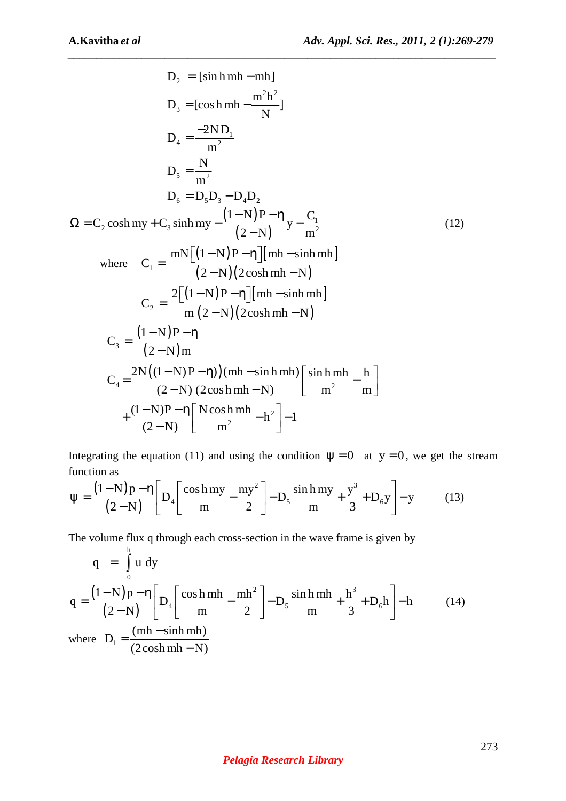$$
D_2 = [\sinh mh - mh]
$$
  
\n
$$
D_3 = [\cosh mh - \frac{m^2h^2}{N}]
$$
  
\n
$$
D_4 = \frac{-2ND_1}{m^2}
$$
  
\n
$$
D_5 = \frac{N}{m^2}
$$
  
\n
$$
D_6 = D_5D_3 - D_4D_2
$$
  
\n
$$
\Omega = C_2 \cosh my + C_3 \sinh my - \frac{(1-N)P-\eta}{(2-N)}y - \frac{C_1}{m^2}
$$
  
\nwhere  $C_1 = \frac{mN[(1-N)P-\eta][mh - \sinh mh]}{(2-N)(2\cosh mh - N)}$   
\n
$$
C_2 = \frac{2[(1-N)P-\eta][mh - \sinh mh]}{m(2-N)(2\cosh mh - N)}
$$
  
\n
$$
C_3 = \frac{(1-N)P-\eta}{(2-N)m}
$$
  
\n
$$
C_4 = \frac{2N((1-N)P-\eta)(mh - \sinh mh)\left[\sinh mh - \frac{h}{m^2}\right]}{(2-N)(2\cosh mh - N)}
$$
  
\n+
$$
\frac{(1-N)P-\eta}{(2-N)}\left[\frac{N\cosh mh}{m^2} - h^2\right] - 1
$$

Integrating the equation (11) and using the condition  $\psi = 0$  at  $y = 0$ , we get the stream function as

$$
\Psi = \frac{(1-N)p - \eta}{(2-N)} \left[ D_4 \left[ \frac{\cosh my}{m} - \frac{my^2}{2} \right] - D_5 \frac{\sin h my}{m} + \frac{y^3}{3} + D_6 y \right] - y \tag{13}
$$

The volume flux q through each cross-section in the wave frame is given by h

$$
q = \int_{0}^{\pi} u \, dy
$$
  
\n
$$
q = \frac{(1-N)p - \eta}{(2-N)} \left[ D_4 \left[ \frac{\cosh mh}{m} - \frac{mh^2}{2} \right] - D_5 \frac{\sinh mh}{m} + \frac{h^3}{3} + D_6 h \right] - h
$$
 (14)  
\nwhere  $D_1 = \frac{(mh - \sinh mh)}{(2\cosh mh - N)}$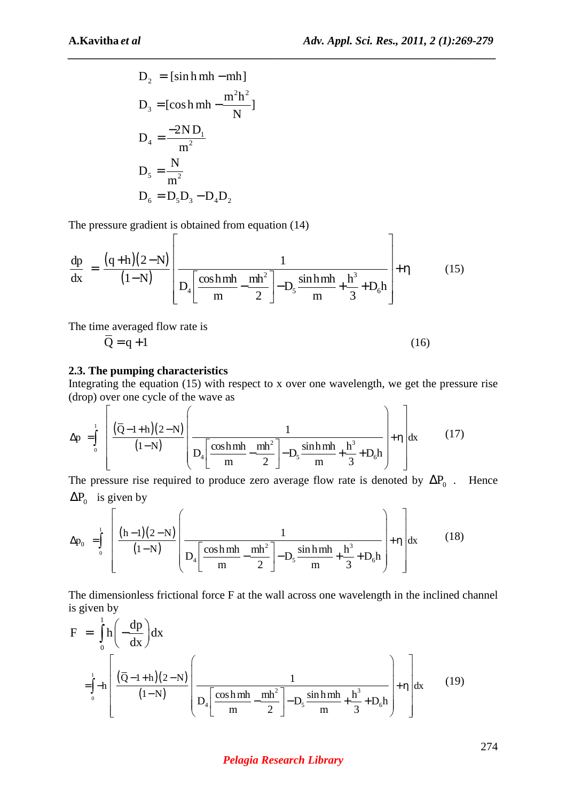$$
D_2 = [\sinh mh - mh]
$$
  
\n
$$
D_3 = [\cosh mh - \frac{m^2h^2}{N}]
$$
  
\n
$$
D_4 = \frac{-2ND_1}{m^2}
$$
  
\n
$$
D_5 = \frac{N}{m^2}
$$
  
\n
$$
D_6 = D_5D_3 - D_4D_2
$$

The pressure gradient is obtained from equation (14)

$$
\frac{dp}{dx} = \frac{(q+h)(2-N)}{(1-N)} \left[ \frac{1}{D_4 \left[ \frac{\cosh mh}{m} - \frac{mh^2}{2} \right] - D_5 \frac{\sinh mh}{m} + \frac{h^3}{3} + D_6 h} \right] + \eta
$$
(15)

*\_\_\_\_\_\_\_\_\_\_\_\_\_\_\_\_\_\_\_\_\_\_\_\_\_\_\_\_\_\_\_\_\_\_\_\_\_\_\_\_\_\_\_\_\_\_\_\_\_\_\_\_\_\_\_\_\_\_\_\_\_\_\_\_\_\_\_\_\_\_\_\_\_\_\_*

The time averaged flow rate is

$$
\overline{Q} = q + 1 \tag{16}
$$

# **2.3. The pumping characteristics**

Integrating the equation (15) with respect to x over one wavelength, we get the pressure rise (drop) over one cycle of the wave as

$$
\Delta p = \int_{0}^{1} \left[ \frac{(\bar{Q} - 1 + h)(2 - N)}{(1 - N)} \left( \frac{1}{D_4 \left[ \frac{\cosh m h}{m} - \frac{mh^2}{2} \right] - D_5 \frac{\sin h m h}{m} + \frac{h^3}{3} + D_6 h} \right) + \eta \right] dx
$$
(17)

The pressure rise required to produce zero average flow rate is denoted by  $\Delta P_0$ . Hence  $\Delta P_0$  is given by

$$
\Delta p_0 = \int_0^1 \left[ \frac{(h-1)(2-N)}{(1-N)} \left( \frac{1}{D_4 \left[ \frac{\cosh mh}{m} - \frac{mh^2}{2} \right] - D_5 \frac{\sinh mh}{m} + \frac{h^3}{3} + D_6 h} \right) + \eta \right] dx
$$
 (18)

The dimensionless frictional force F at the wall across one wavelength in the inclined channel is given by

$$
F = \int_{0}^{1} h \left( -\frac{dp}{dx} \right) dx
$$
  
=  $\int_{0}^{1} -h \left[ \frac{(\overline{Q} - 1 + h)(2 - N)}{(1 - N)} \left( \frac{1}{D_4 \left[ \frac{\cosh mh}{m} - \frac{mh^2}{2} \right] - D_5 \frac{\sinh mh}{m} + \frac{h^3}{3} + D_6 h} \right] + \eta \right] dx$  (19)

## *Pelagia Research Library*

274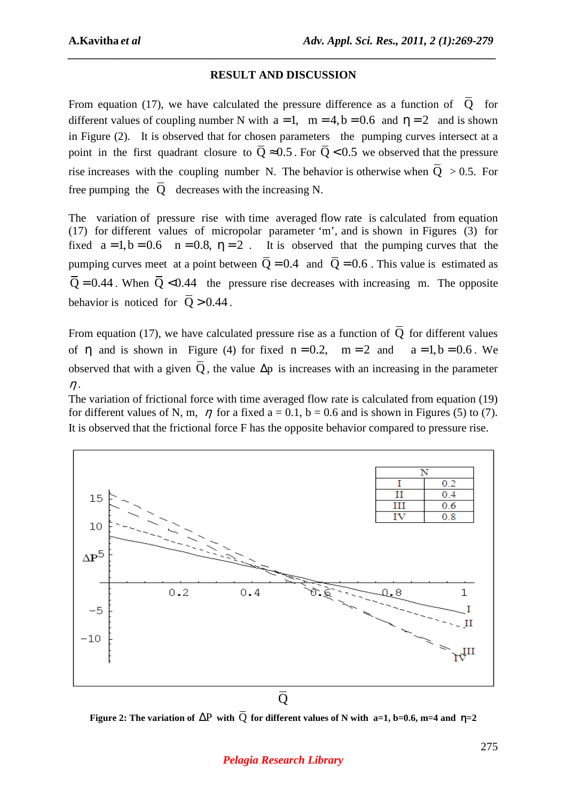# **RESULT AND DISCUSSION**

*\_\_\_\_\_\_\_\_\_\_\_\_\_\_\_\_\_\_\_\_\_\_\_\_\_\_\_\_\_\_\_\_\_\_\_\_\_\_\_\_\_\_\_\_\_\_\_\_\_\_\_\_\_\_\_\_\_\_\_\_\_\_\_\_\_\_\_\_\_\_\_\_\_\_\_*

From equation (17), we have calculated the pressure difference as a function of  $\overline{Q}$  for different values of coupling number N with  $a = 1$ ,  $m = 4$ ,  $b = 0.6$  and  $\eta = 2$  and is shown in Figure (2). It is observed that for chosen parameters the pumping curves intersect at a point in the first quadrant closure to  $\overline{O} \approx 0.5$ . For  $\overline{O} < 0.5$  we observed that the pressure rise increases with the coupling number N. The behavior is otherwise when  $\overline{O} > 0.5$ . For free pumping the  $\overline{O}$  decreases with the increasing N.

The variation of pressure rise with time averaged flow rate is calculated from equation (17) for different values of micropolar parameter 'm', and is shown in Figures (3) for fixed  $a = 1, b = 0.6$   $n = 0.8$ ,  $\eta = 2$ . It is observed that the pumping curves that the pumping curves meet at a point between  $\overline{Q} = 0.4$  and  $\overline{Q} = 0.6$ . This value is estimated as  $\overline{Q} = 0.44$ . When  $\overline{Q} < 0.44$  the pressure rise decreases with increasing m. The opposite behavior is noticed for  $\overline{O} > 0.44$ .

From equation (17), we have calculated pressure rise as a function of  $\overline{O}$  for different values of  $\eta$  and is shown in Figure (4) for fixed  $n = 0.2$ ,  $m = 2$  and  $a = 1, b = 0.6$ . We observed that with a given  $\overline{O}$ , the value  $\Delta p$  is increases with an increasing in the parameter  $\eta$ .

The variation of frictional force with time averaged flow rate is calculated from equation (19) for different values of N, m,  $\eta$  for a fixed a = 0.1, b = 0.6 and is shown in Figures (5) to (7). It is observed that the frictional force F has the opposite behavior compared to pressure rise.



**Figure 2: The variation of**  $\Delta P$  **with**  $\overline{O}$  **for different values of N with a=1, b=0.6, m=4 and**  $\eta$ **=2**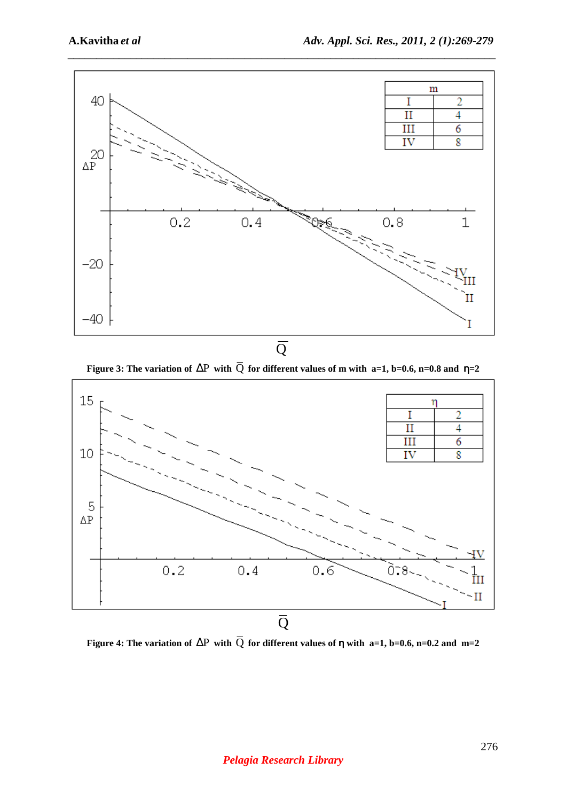

 $\overline{Q}$ 

**Figure 3: The variation of** ∆P **with** Q **for different values of m with a=1, b=0.6, n=0.8 and** η**=2** 



**Figure 4: The variation of** ∆P **with** Q **for different values of** η **with a=1, b=0.6, n=0.2 and m=2**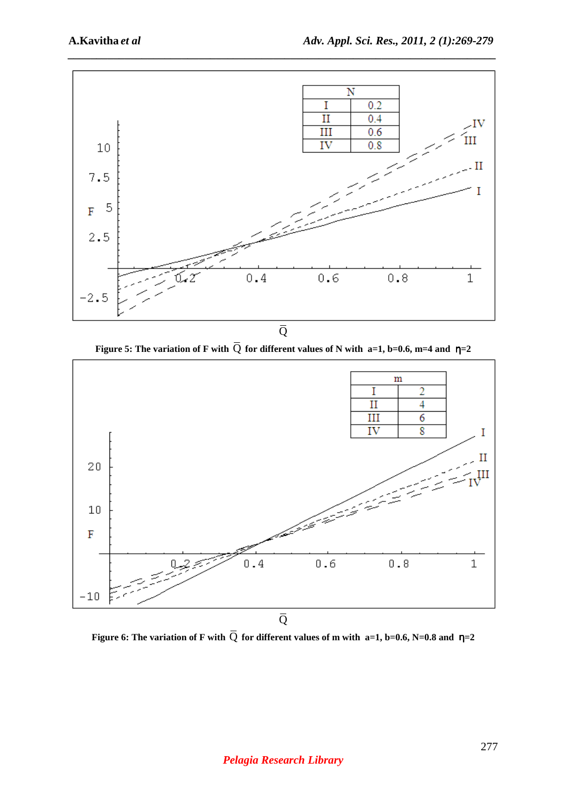

**Figure 5: The variation of F with**  $\overline{Q}$  **for different values of N with a=1, b=0.6, m=4 and**  $\eta$ **=2** 



**Figure 6: The variation of F with**  $\overline{Q}$  **for different values of m with a=1, b=0.6, N=0.8 and**  $\eta$ **=2**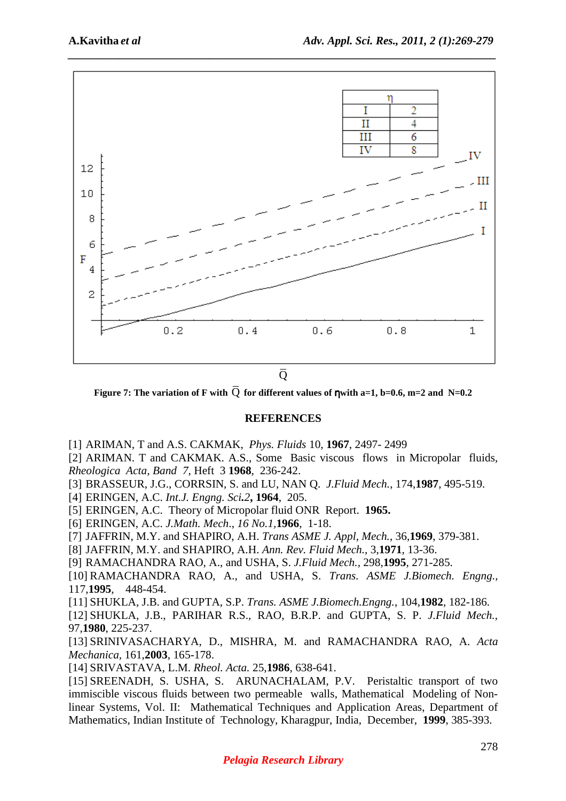

 $\overline{O}$ 

**Figure 7: The variation of F with**  $\overline{O}$  **for different values of nwith a=1, b=0.6, m=2 and N=0.2** 

# **REFERENCES**

[1] ARIMAN, T and A.S. CAKMAK, *Phys. Fluids* 10, **1967**, 2497- 2499

[2] ARIMAN. T and CAKMAK. A.S., Some Basic viscous flows in Micropolar fluids, *Rheologica Acta, Band 7*, Heft 3 **1968**, 236-242.

- [3] BRASSEUR, J.G., CORRSIN, S. and LU, NAN Q. *J.Fluid Mech.*, 174,**1987**, 495-519.
- [4] ERINGEN, A.C. *Int.J. Engng. Sci.2***, 1964**, 205.
- [5] ERINGEN, A.C. Theory of Micropolar fluid ONR Report. **1965.**
- [6] ERINGEN, A.C. *J.Math. Mech*., *16 No.1,***1966**, 1-18.

[7] JAFFRIN, M.Y. and SHAPIRO, A.H. *Trans ASME J. Appl, Mech.*, 36,**1969**, 379-381.

[8] JAFFRIN, M.Y. and SHAPIRO, A.H. *Ann. Rev. Fluid Mech.,* 3,**1971**, 13-36.

[9] RAMACHANDRA RAO, A., and USHA, S. *J.Fluid Mech.,* 298,**1995**, 271-285.

[10] RAMACHANDRA RAO, A., and USHA, S. *Trans. ASME J.Biomech. Engng.,* 117,**1995**, 448-454.

[11] SHUKLA, J.B. and GUPTA, S.P. *Trans. ASME J.Biomech.Engng.*, 104,**1982**, 182-186.

[12] SHUKLA, J.B., PARIHAR R.S., RAO, B.R.P. and GUPTA, S. P. *J.Fluid Mech.,* 97,**1980**, 225-237.

[13] SRINIVASACHARYA, D., MISHRA, M. and RAMACHANDRA RAO, A. *Acta Mechanica,* 161,**2003**, 165-178.

[14] SRIVASTAVA, L.M. *Rheol. Acta.* 25,**1986**, 638-641.

[15] SREENADH, S. USHA, S. ARUNACHALAM, P.V. Peristaltic transport of two immiscible viscous fluids between two permeable walls, Mathematical Modeling of Nonlinear Systems, Vol. II: Mathematical Techniques and Application Areas, Department of Mathematics, Indian Institute of Technology, Kharagpur, India, December, **1999**, 385-393.